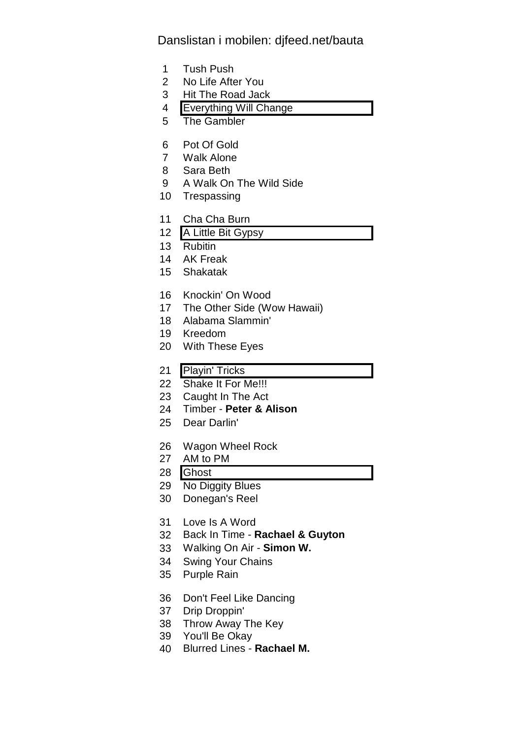## Danslistan i mobilen: djfeed.net/bauta

- 1 Tush Push
- 2 No Life After You
- 3 Hit The Road Jack
- 4 Everything Will Change
- 5 The Gambler
- 6 Pot Of Gold
- 7 Walk Alone
- 8 Sara Beth
- 9 A Walk On The Wild Side
- 10 Trespassing
- 11 Cha Cha Burn
- 12 A Little Bit Gypsy
- 13 Rubitin
- 14 AK Freak
- 15 Shakatak
- 16 Knockin' On Wood
- 17 The Other Side (Wow Hawaii)
- 18 Alabama Slammin'
- 19 Kreedom
- 20 With These Eyes
- 21 Playin' Tricks
- 22 Shake It For Me!!!
- 23 Caught In The Act
- 24 Timber **Peter & Alison**
- 25 Dear Darlin'
- 26 Wagon Wheel Rock
- 27 AM to PM
- 28 Ghost
- 29 No Diggity Blues
- 30 Donegan's Reel
- 31 Love Is A Word
- 32 Back In Time **Rachael & Guyton**
- 33 Walking On Air **Simon W.**
- 34 Swing Your Chains
- 35 Purple Rain
- 36 Don't Feel Like Dancing
- 37 Drip Droppin'
- 38 Throw Away The Key
- 39 You'll Be Okay
- 40 Blurred Lines **Rachael M.**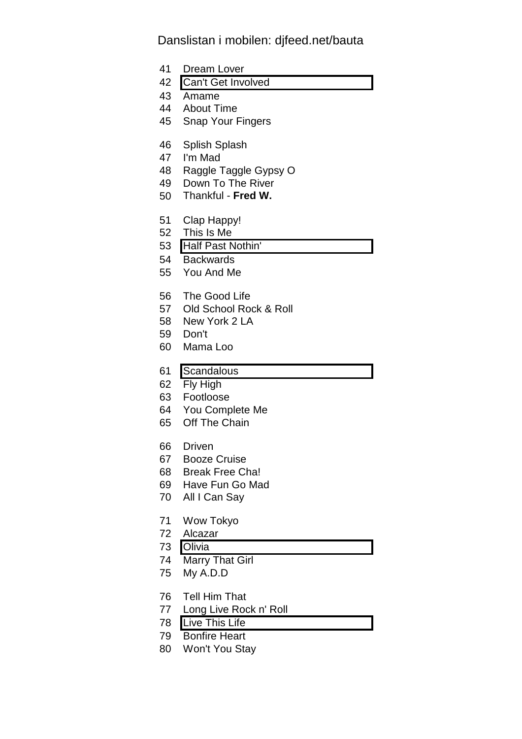## Danslistan i mobilen: djfeed.net/bauta

- 41 Dream Lover
- 42 Can't Get Involved
- 43 Amame
- 44 About Time
- 45 Snap Your Fingers
- 46 Splish Splash
- 47 I'm Mad
- 48 Raggle Taggle Gypsy O
- 49 Down To The River
- 50 Thankful **Fred W.**
- 51 Clap Happy!
- 52 This Is Me
- 53 Half Past Nothin'
- 54 Backwards
- 55 You And Me
- 56 The Good Life
- 57 Old School Rock & Roll
- 58 New York 2 LA
- 59 Don't
- 60 Mama Loo
- 61 Scandalous
- 62 Fly High
- 63 Footloose
- 64 You Complete Me
- 65 Off The Chain
- 66 Driven
- 67 Booze Cruise
- 68 Break Free Cha!
- 69 Have Fun Go Mad
- 70 All I Can Say
- 71 Wow Tokyo
- 72 Alcazar
- 73 Olivia
- 74 Marry That Girl
- 75 My A.D.D
- 76 Tell Him That
- 77 Long Live Rock n' Roll
- 78 Live This Life
- 79 Bonfire Heart
- 80 Won't You Stay